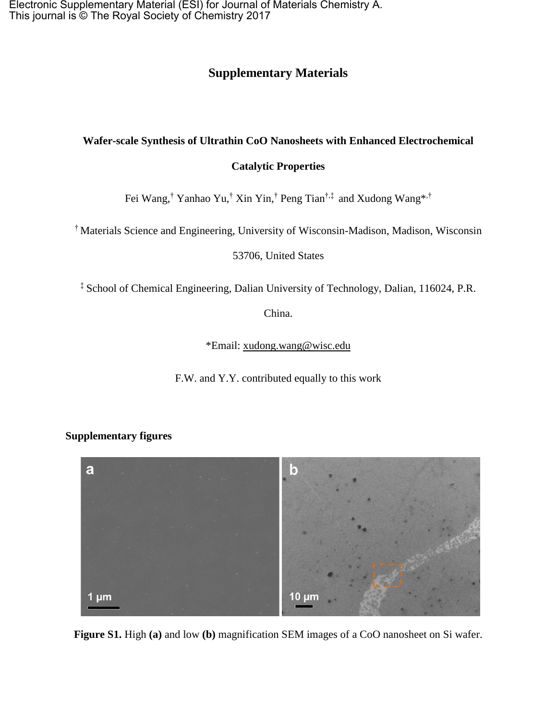Electronic Supplementary Material (ESI) for Journal of Materials Chemistry A. This journal is © The Royal Society of Chemistry 2017

## **Supplementary Materials**

## **Wafer-scale Synthesis of Ultrathin CoO Nanosheets with Enhanced Electrochemical**

## **Catalytic Properties**

Fei Wang,† Yanhao Yu,† Xin Yin,† Peng Tian†,‡ and Xudong Wang\*,†

† Materials Science and Engineering, University of Wisconsin-Madison, Madison, Wisconsin

53706, United States

‡ School of Chemical Engineering, Dalian University of Technology, Dalian, 116024, P.R.

China.

\*Email: [xudong.wang@wisc.edu](mailto:xudong.wang@wisc.edu)

F.W. and Y.Y. contributed equally to this work

## **Supplementary figures**



**Figure S1.** High **(a)** and low **(b)** magnification SEM images of a CoO nanosheet on Si wafer.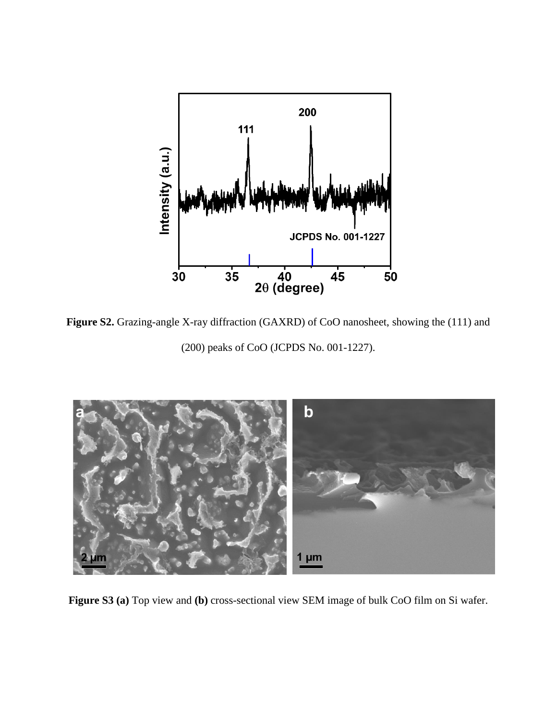

**Figure S2.** Grazing-angle X-ray diffraction (GAXRD) of CoO nanosheet, showing the (111) and (200) peaks of CoO (JCPDS No. 001-1227).



**Figure S3 (a)** Top view and **(b)** cross-sectional view SEM image of bulk CoO film on Si wafer.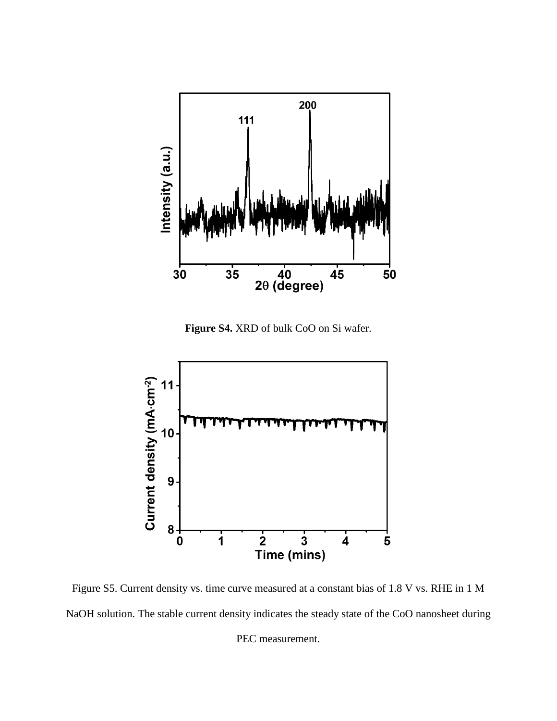

**Figure S4.** XRD of bulk CoO on Si wafer.



Figure S5. Current density vs. time curve measured at a constant bias of 1.8 V vs. RHE in 1 M NaOH solution. The stable current density indicates the steady state of the CoO nanosheet during PEC measurement.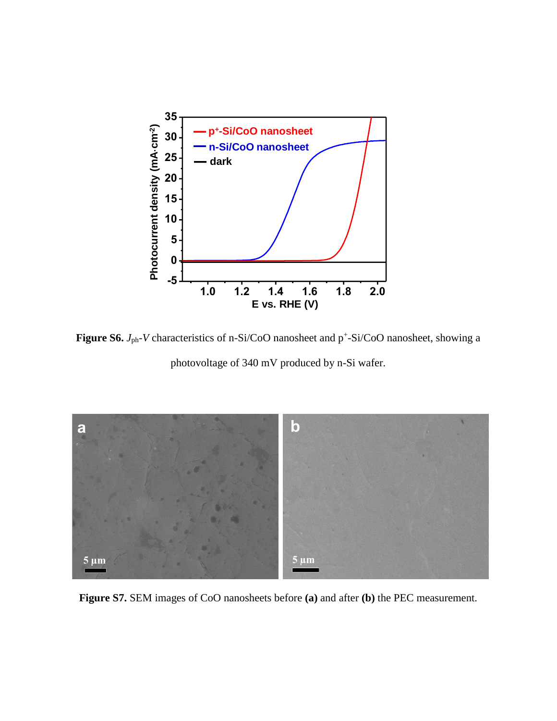

**Figure S6.**  $J_{\text{ph}}$ -*V* characteristics of n-Si/CoO nanosheet and  $p^{\text{+}}$ -Si/CoO nanosheet, showing a

photovoltage of 340 mV produced by n-Si wafer.



**Figure S7.** SEM images of CoO nanosheets before **(a)** and after **(b)** the PEC measurement.